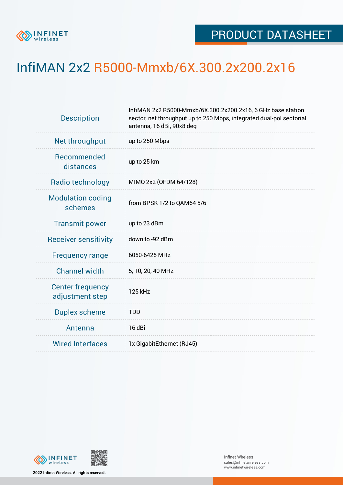

## InfiMAN 2x2 R5000-Mmxb/6X.300.2x200.2x16

| <b>Description</b>                         | InfiMAN 2x2 R5000-Mmxb/6X.300.2x200.2x16, 6 GHz base station<br>sector, net throughput up to 250 Mbps, integrated dual-pol sectorial<br>antenna, 16 dBi, 90x8 deg |  |  |  |  |
|--------------------------------------------|-------------------------------------------------------------------------------------------------------------------------------------------------------------------|--|--|--|--|
| Net throughput                             | up to 250 Mbps                                                                                                                                                    |  |  |  |  |
| Recommended<br>distances                   | up to 25 km                                                                                                                                                       |  |  |  |  |
| Radio technology                           | MIMO 2x2 (OFDM 64/128)                                                                                                                                            |  |  |  |  |
| <b>Modulation coding</b><br>schemes        | from BPSK 1/2 to QAM64 5/6                                                                                                                                        |  |  |  |  |
| <b>Transmit power</b>                      | up to 23 dBm                                                                                                                                                      |  |  |  |  |
| <b>Receiver sensitivity</b>                | down to -92 dBm                                                                                                                                                   |  |  |  |  |
| <b>Frequency range</b>                     | 6050-6425 MHz                                                                                                                                                     |  |  |  |  |
| <b>Channel width</b>                       | 5, 10, 20, 40 MHz                                                                                                                                                 |  |  |  |  |
| <b>Center frequency</b><br>adjustment step | 125 kHz                                                                                                                                                           |  |  |  |  |
| <b>Duplex scheme</b>                       | <b>TDD</b>                                                                                                                                                        |  |  |  |  |
| Antenna                                    | 16 dBi                                                                                                                                                            |  |  |  |  |
| <b>Wired Interfaces</b>                    | 1x GigabitEthernet (RJ45)                                                                                                                                         |  |  |  |  |



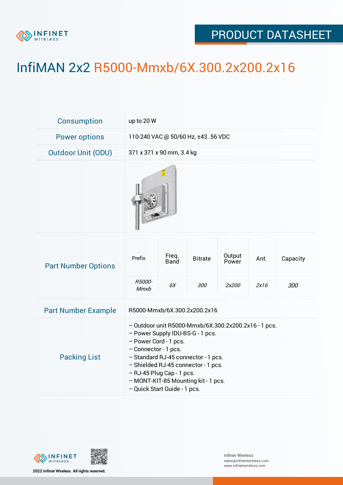

## PRODUCT DATASHEET

## InfiMAN 2x2 R5000-Mmxb/6X.300.2x200.2x16

| Consumption                | up to 20 W                                                                                                                                                                                                                                                                                                                  |               |                |                 |      |          |  |
|----------------------------|-----------------------------------------------------------------------------------------------------------------------------------------------------------------------------------------------------------------------------------------------------------------------------------------------------------------------------|---------------|----------------|-----------------|------|----------|--|
| <b>Power options</b>       | 110-240 VAC @ 50/60 Hz, ±4356 VDC                                                                                                                                                                                                                                                                                           |               |                |                 |      |          |  |
| <b>Outdoor Unit (ODU)</b>  | 371 x 371 x 90 mm, 3.4 kg                                                                                                                                                                                                                                                                                                   |               |                |                 |      |          |  |
|                            |                                                                                                                                                                                                                                                                                                                             |               |                |                 |      |          |  |
| <b>Part Number Options</b> | Prefix<br>R5000-                                                                                                                                                                                                                                                                                                            | Freq.<br>Band | <b>Bitrate</b> | Output<br>Power | Ant. | Capacity |  |
|                            | Mmxb                                                                                                                                                                                                                                                                                                                        | 6X            | <i>300</i>     | 2x200           | 2x16 | 300      |  |
| <b>Part Number Example</b> | R5000-Mmxb/6X.300.2x200.2x16                                                                                                                                                                                                                                                                                                |               |                |                 |      |          |  |
| <b>Packing List</b>        | - Outdoor unit R5000-Mmxb/6X.300.2x200.2x16 - 1 pcs.<br>- Power Supply IDU-BS-G - 1 pcs.<br>- Power Cord - 1 pcs.<br>- Connector - 1 pcs.<br>- Standard RJ-45 connector - 1 pcs.<br>- Shielded RJ-45 connector - 1 pcs.<br>- RJ-45 Plug Cap - 1 pcs.<br>- MONT-KIT-85 Mounting kit - 1 pcs.<br>- Quick Start Guide - 1 pcs. |               |                |                 |      |          |  |



**2022 Infinet Wireless. All rights reserved.**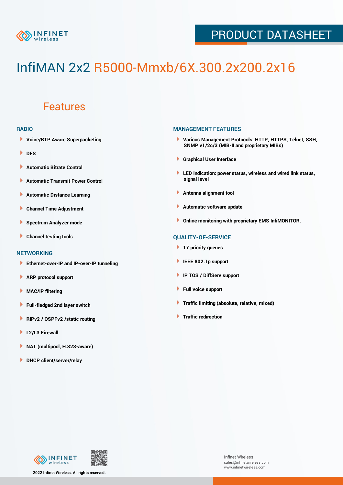

## PRODUCT DATASHEET

# InfiMAN 2x2 R5000-Mmxb/6X.300.2x200.2x16

### Features

#### **RADIO**

- **Voice/RTP Aware Superpacketing**
- **DFS**
- **Automatic Bitrate Control** Þ
- Þ **Automatic Transmit Power Control**
- Þ **Automatic Distance Learning**
- Þ **Channel Time Adjustment**
- Þ **Spectrum Analyzer mode**
- ь **Channel testing tools**

#### **NETWORKING**

- **Ethernet-over-IP and IP-over-IP tunneling**
- Þ **ARP protocol support**
- Þ **MAC/IP filtering**
- Þ **Full-fledged 2nd layer switch**
- Þ **RIPv2 / OSPFv2 /static routing**
- ۱ **L2/L3 Firewall**
- ١ **NAT (multipool, H.323-aware)**
- **DHCP client/server/relay**

#### **MANAGEMENT FEATURES**

- **Various Management Protocols: HTTP, HTTPS, Telnet, SSH, SNMP v1/2c/3 (MIB-II and proprietary MIBs)**
- **Graphical User Interface**
- **LED Indication: power status, wireless and wired link status, signal level**
- **Antenna alignment tool**
- ٠ **Automatic software update**
- **Online monitoring with proprietary EMS InfiMONITOR.**

#### **QUALITY-OF-SERVICE**

- **17 priority queues**
- **IEEE 802.1p support**
- **IP TOS / DiffServ support**
- ٠ **Full voice support**
- **Traffic limiting (absolute, relative, mixed)** ٠
- **Traffic redirection**